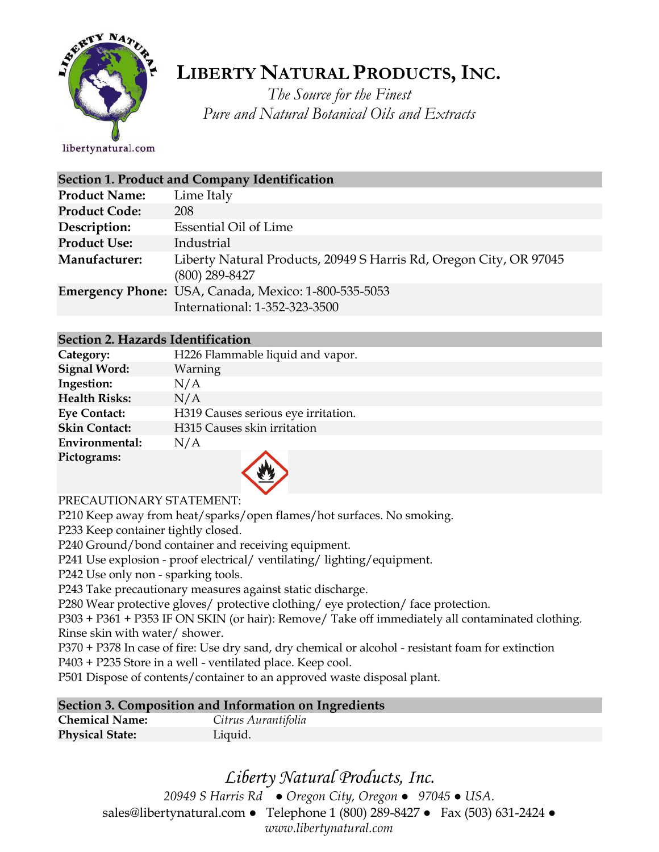

# **LIBERTY NATURAL PRODUCTS,INC.**

*The Source for the Finest Pure and Natural Botanical Oils and Extracts*

libertynatural.com

| Section 1. Product and Company Identification |                                                                                        |  |
|-----------------------------------------------|----------------------------------------------------------------------------------------|--|
| <b>Product Name:</b>                          | Lime Italy                                                                             |  |
| <b>Product Code:</b>                          | 208                                                                                    |  |
| Description:                                  | Essential Oil of Lime                                                                  |  |
| <b>Product Use:</b>                           | Industrial                                                                             |  |
| Manufacturer:                                 | Liberty Natural Products, 20949 S Harris Rd, Oregon City, OR 97045<br>$(800)$ 289-8427 |  |
|                                               | Emergency Phone: USA, Canada, Mexico: 1-800-535-5053<br>International: 1-352-323-3500  |  |

## **Section 2. Hazards Identification**

| Category:            | H226 Flammable liquid and vapor.    |
|----------------------|-------------------------------------|
| <b>Signal Word:</b>  | Warning                             |
| Ingestion:           | N/A                                 |
| <b>Health Risks:</b> | N/A                                 |
| <b>Eye Contact:</b>  | H319 Causes serious eye irritation. |
| <b>Skin Contact:</b> | H315 Causes skin irritation         |
| Environmental:       | N/A                                 |
| Pictograms:          |                                     |

### PRECAUTIONARY STATEMENT:

P210 Keep away from heat/sparks/open flames/hot surfaces. No smoking.

P233 Keep container tightly closed.

P240 Ground/bond container and receiving equipment.

P241 Use explosion - proof electrical/ ventilating/ lighting/equipment.

P242 Use only non - sparking tools.

P243 Take precautionary measures against static discharge.

P280 Wear protective gloves/ protective clothing/ eye protection/ face protection.

P303 + P361 + P353 IF ON SKIN (or hair): Remove/ Take off immediately all contaminated clothing. Rinse skin with water/ shower.

P370 + P378 In case of fire: Use dry sand, dry chemical or alcohol - resistant foam for extinction P403 + P235 Store in a well - ventilated place. Keep cool.

P501 Dispose of contents/container to an approved waste disposal plant.

### **Section 3. Composition and Information on Ingredients**

| <b>Chemical Name:</b>  | Citrus Aurantifolia |
|------------------------|---------------------|
| <b>Physical State:</b> | Liquid.             |

# *Liberty Natural Products, Inc.*

*20949 S Harris Rd ● Oregon City, Oregon ● 97045 ● USA.*  sales@libertynatural.com *●* Telephone 1 (800) 289-8427 ● Fax (503) 631-2424 *● www.libertynatural.com*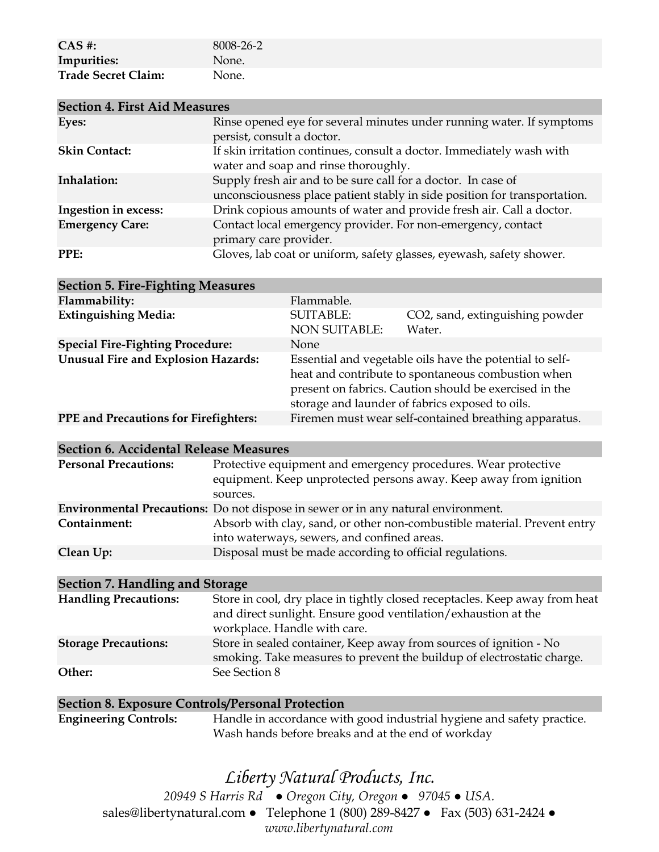| $CAS$ #:                   | 8008-26-2 |
|----------------------------|-----------|
| Impurities:                | None.     |
| <b>Trade Secret Claim:</b> | None.     |

| <b>Section 4. First Aid Measures</b> |                                                                                                                                            |  |
|--------------------------------------|--------------------------------------------------------------------------------------------------------------------------------------------|--|
| Eyes:                                | Rinse opened eye for several minutes under running water. If symptoms<br>persist, consult a doctor.                                        |  |
| <b>Skin Contact:</b>                 | If skin irritation continues, consult a doctor. Immediately wash with<br>water and soap and rinse thoroughly.                              |  |
| Inhalation:                          | Supply fresh air and to be sure call for a doctor. In case of<br>unconsciousness place patient stably in side position for transportation. |  |
| Ingestion in excess:                 | Drink copious amounts of water and provide fresh air. Call a doctor.                                                                       |  |
| <b>Emergency Care:</b>               | Contact local emergency provider. For non-emergency, contact<br>primary care provider.                                                     |  |
| PPE:                                 | Gloves, lab coat or uniform, safety glasses, eyewash, safety shower.                                                                       |  |

| <b>Section 5. Fire-Fighting Measures</b>   |                                                                                                                                                                                                                             |                                                       |
|--------------------------------------------|-----------------------------------------------------------------------------------------------------------------------------------------------------------------------------------------------------------------------------|-------------------------------------------------------|
| Flammability:                              | Flammable.                                                                                                                                                                                                                  |                                                       |
| <b>Extinguishing Media:</b>                | <b>SUITABLE:</b><br><b>NON SUITABLE:</b>                                                                                                                                                                                    | CO2, sand, extinguishing powder<br>Water.             |
| <b>Special Fire-Fighting Procedure:</b>    | None                                                                                                                                                                                                                        |                                                       |
| <b>Unusual Fire and Explosion Hazards:</b> | Essential and vegetable oils have the potential to self-<br>heat and contribute to spontaneous combustion when<br>present on fabrics. Caution should be exercised in the<br>storage and launder of fabrics exposed to oils. |                                                       |
| PPE and Precautions for Firefighters:      |                                                                                                                                                                                                                             | Firemen must wear self-contained breathing apparatus. |
|                                            |                                                                                                                                                                                                                             |                                                       |

#### **Section 6. Accidental Release Measures**

| <b>Personal Precautions:</b> | Protective equipment and emergency procedures. Wear protective<br>equipment. Keep unprotected persons away. Keep away from ignition<br>sources. |
|------------------------------|-------------------------------------------------------------------------------------------------------------------------------------------------|
|                              | <b>Environmental Precautions:</b> Do not dispose in sewer or in any natural environment.                                                        |
| Containment:                 | Absorb with clay, sand, or other non-combustible material. Prevent entry<br>into waterways, sewers, and confined areas.                         |
| Clean Up:                    | Disposal must be made according to official regulations.                                                                                        |

#### **Section 7. Handling and Storage**

| <b>Handling Precautions:</b> | Store in cool, dry place in tightly closed receptacles. Keep away from heat |
|------------------------------|-----------------------------------------------------------------------------|
|                              | and direct sunlight. Ensure good ventilation/exhaustion at the              |
|                              | workplace. Handle with care.                                                |
| <b>Storage Precautions:</b>  | Store in sealed container, Keep away from sources of ignition - No          |
|                              | smoking. Take measures to prevent the buildup of electrostatic charge.      |
| Other:                       | See Section 8                                                               |
|                              |                                                                             |

#### **Section 8. Exposure Controls/Personal Protection**

**Engineering Controls:** Handle in accordance with good industrial hygiene and safety practice. Wash hands before breaks and at the end of workday

# *Liberty Natural Products, Inc.*

*20949 S Harris Rd ● Oregon City, Oregon ● 97045 ● USA.*  sales@libertynatural.com *●* Telephone 1 (800) 289-8427 ● Fax (503) 631-2424 *● www.libertynatural.com*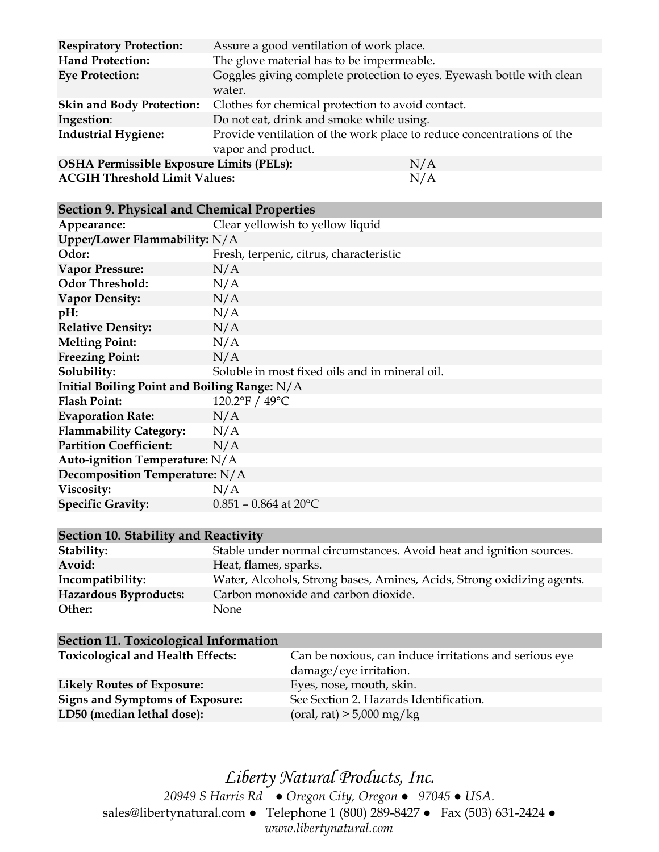| <b>Respiratory Protection:</b>                  | Assure a good ventilation of work place.                                                    |     |
|-------------------------------------------------|---------------------------------------------------------------------------------------------|-----|
| <b>Hand Protection:</b>                         | The glove material has to be impermeable.                                                   |     |
| <b>Eye Protection:</b>                          | Goggles giving complete protection to eyes. Eyewash bottle with clean<br>water.             |     |
| <b>Skin and Body Protection:</b>                | Clothes for chemical protection to avoid contact.                                           |     |
| Ingestion:                                      | Do not eat, drink and smoke while using.                                                    |     |
| <b>Industrial Hygiene:</b>                      | Provide ventilation of the work place to reduce concentrations of the<br>vapor and product. |     |
| <b>OSHA Permissible Exposure Limits (PELs):</b> |                                                                                             | N/A |
| <b>ACGIH Threshold Limit Values:</b>            |                                                                                             | N/A |

# **Section 9. Physical and Chemical Properties**

| Appearance:                                  | Clear yellowish to yellow liquid               |  |
|----------------------------------------------|------------------------------------------------|--|
| Upper/Lower Flammability: N/A                |                                                |  |
| Odor:                                        | Fresh, terpenic, citrus, characteristic        |  |
| <b>Vapor Pressure:</b>                       | N/A                                            |  |
| <b>Odor Threshold:</b>                       | N/A                                            |  |
| <b>Vapor Density:</b>                        | N/A                                            |  |
| $pH$ :                                       | N/A                                            |  |
| <b>Relative Density:</b>                     | N/A                                            |  |
| <b>Melting Point:</b>                        | N/A                                            |  |
| <b>Freezing Point:</b>                       | N/A                                            |  |
| Solubility:                                  | Soluble in most fixed oils and in mineral oil. |  |
| Initial Boiling Point and Boiling Range: N/A |                                                |  |
| <b>Flash Point:</b>                          | 120.2°F / 49°C                                 |  |
| <b>Evaporation Rate:</b>                     | N/A                                            |  |
| <b>Flammability Category:</b>                | N/A                                            |  |
| <b>Partition Coefficient:</b>                | N/A                                            |  |
| Auto-ignition Temperature: N/A               |                                                |  |
| Decomposition Temperature: N/A               |                                                |  |
| Viscosity:                                   | N/A                                            |  |
| <b>Specific Gravity:</b>                     | $0.851 - 0.864$ at 20°C                        |  |
|                                              |                                                |  |

# **Section 10. Stability and Reactivity**

| Stability:            | Stable under normal circumstances. Avoid heat and ignition sources.    |
|-----------------------|------------------------------------------------------------------------|
| Avoid:                | Heat, flames, sparks.                                                  |
| Incompatibility:      | Water, Alcohols, Strong bases, Amines, Acids, Strong oxidizing agents. |
| Hazardous Byproducts: | Carbon monoxide and carbon dioxide.                                    |
| Other:                | None.                                                                  |
|                       |                                                                        |

| <b>Section 11. Toxicological Information</b> |                                                                                  |
|----------------------------------------------|----------------------------------------------------------------------------------|
| <b>Toxicological and Health Effects:</b>     | Can be noxious, can induce irritations and serious eye<br>damage/eye irritation. |
| <b>Likely Routes of Exposure:</b>            | Eyes, nose, mouth, skin.                                                         |
| <b>Signs and Symptoms of Exposure:</b>       | See Section 2. Hazards Identification.                                           |
| LD50 (median lethal dose):                   | (oral, rat) $> 5,000$ mg/kg                                                      |

*Liberty Natural Products, Inc. 20949 S Harris Rd ● Oregon City, Oregon ● 97045 ● USA.*  sales@libertynatural.com *●* Telephone 1 (800) 289-8427 ● Fax (503) 631-2424 *● www.libertynatural.com*